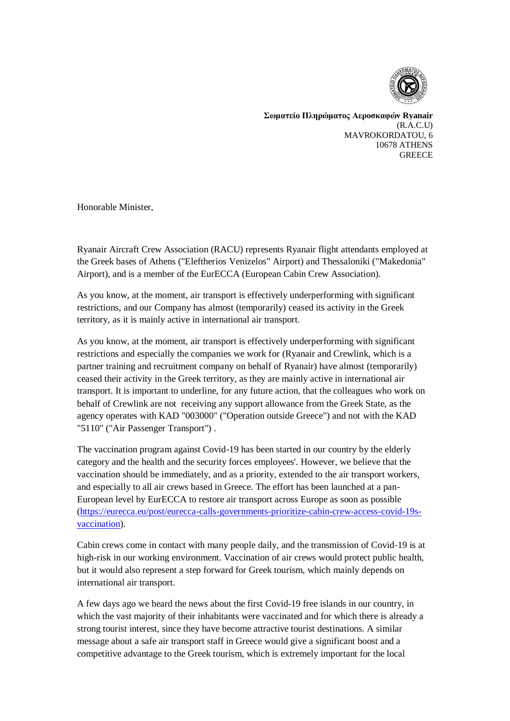

**Σωματείο Πληρώματος Αεροσκαφών Ryanair**  $(R.A.C.I)$ MAVROKORDATOU, 6 10678 ATHENS **GREECE** 

Honorable Minister,

Ryanair Aircraft Crew Association (RACU) represents Ryanair flight attendants employed at the Greek bases of Athens ("Eleftherios Venizelos" Airport) and Thessaloniki ("Makedonia" Airport), and is a member of the EurECCA (European Cabin Crew Association).

As you know, at the moment, air transport is effectively underperforming with significant restrictions, and our Company has almost (temporarily) ceased its activity in the Greek territory, as it is mainly active in international air transport.

As you know, at the moment, air transport is effectively underperforming with significant restrictions and especially the companies we work for (Ryanair and Crewlink, which is a partner training and recruitment company on behalf of Ryanair) have almost (temporarily) ceased their activity in the Greek territory, as they are mainly active in international air transport. It is important to underline, for any future action, that the colleagues who work on behalf of Crewlink are not receiving any support allowance from the Greek State, as the agency operates with KAD "003000" ("Operation outside Greece") and not with the KAD "5110" ("Air Passenger Transport") .

The vaccination program against Covid-19 has been started in our country by the elderly category and the health and the security forces employees'. However, we believe that the vaccination should be immediately, and as a priority, extended to the air transport workers, and especially to all air crews based in Greece. The effort has been launched at a pan-European level by EurECCA to restore air transport across Europe as soon as possible [\(https://eurecca.eu/post/eurecca-calls-governments-prioritize-cabin-crew-access-covid-19s](https://eurecca.eu/post/eurecca-calls-governments-prioritize-cabin-crew-access-covid-19s-vaccination)[vaccination\)](https://eurecca.eu/post/eurecca-calls-governments-prioritize-cabin-crew-access-covid-19s-vaccination).

Cabin crews come in contact with many people daily, and the transmission of Covid-19 is at high-risk in our working environment. Vaccination of air crews would protect public health, but it would also represent a step forward for Greek tourism, which mainly depends on international air transport.

A few days ago we heard the news about the first Covid-19 free islands in our country, in which the vast majority of their inhabitants were vaccinated and for which there is already a strong tourist interest, since they have become attractive tourist destinations. A similar message about a safe air transport staff in Greece would give a significant boost and a competitive advantage to the Greek tourism, which is extremely important for the local